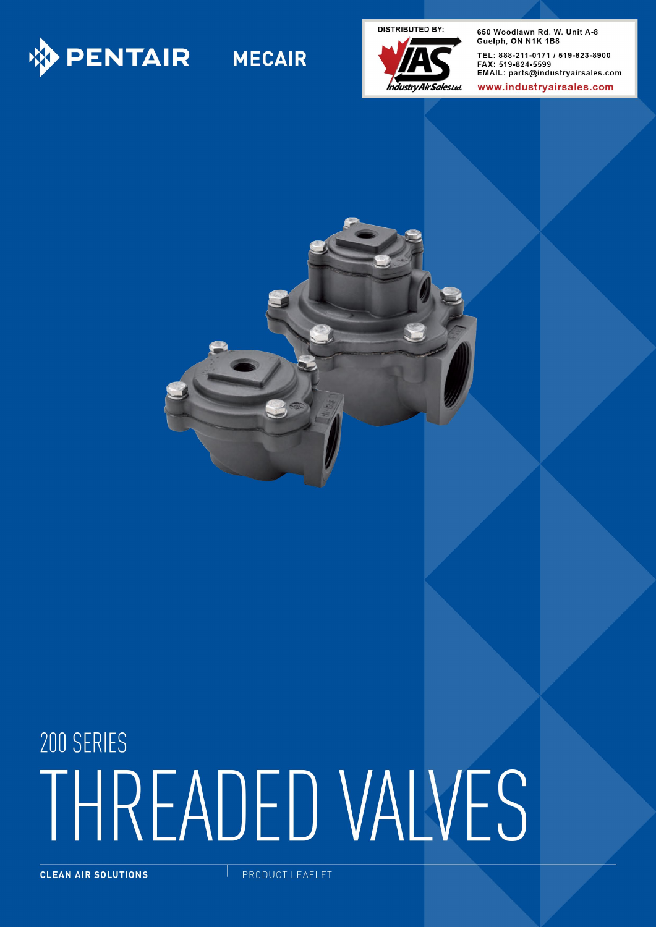

**DISTRIBUTED BY:** 



650 Woodlawn Rd. W. Unit A-8 Guelph, ON N1K 1B8 TEL: 888-211-0171 / 519-823-8900 FAX: 519-824-5599 EMAIL: parts@industryairsales.com

www.industrvairsales.com



# 200 SERIES THREADED VALVES

CLEAN AIR SOLUTIONS

PRODUCT LEAFLET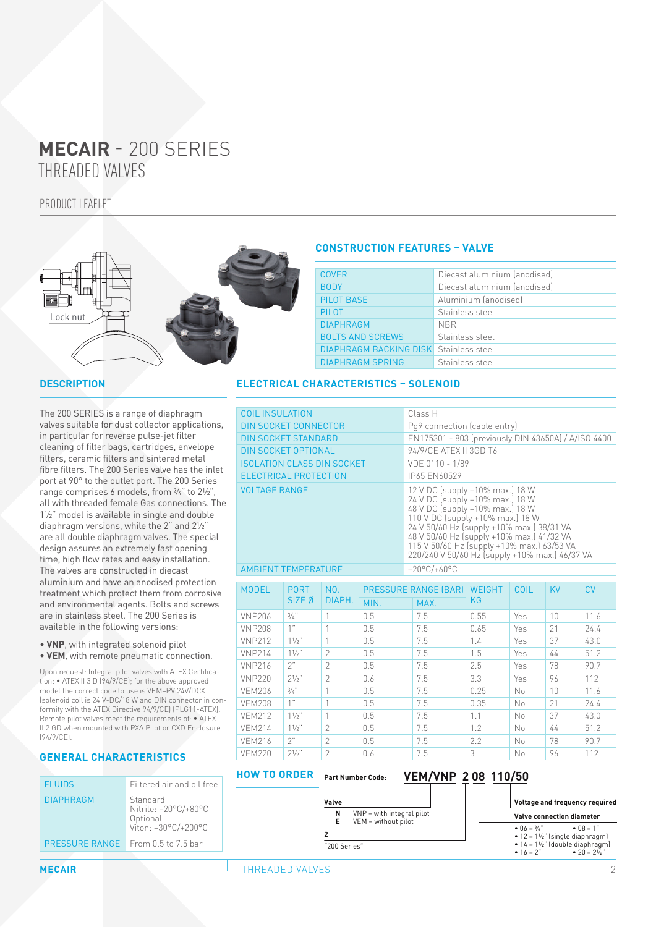# THREADED VALVES **MECAIR** - 200 SERIES

PRODUCT LEAFLET



#### **DESCRIPTION**

The 200 SERIES is a range of diaphragm valves suitable for dust collector applications, in particular for reverse pulse-jet filter cleaning of filter bags, cartridges, envelope filters, ceramic filters and sintered metal fibre filters. The 200 Series valve has the inlet port at 90° to the outlet port. The 200 Series range comprises 6 models, from ¾" to 2½", all with threaded female Gas connections. The 1½" model is available in single and double diaphragm versions, while the 2" and 2½" are all double diaphragm valves. The special design assures an extremely fast opening time, high flow rates and easy installation. The valves are constructed in diecast aluminium and have an anodised protection treatment which protect them from corrosive and environmental agents. Bolts and screws are in stainless steel. The 200 Series is available in the following versions:

• **VNP**, with integrated solenoid pilot • **VEM**, with remote pneumatic connection.

Upon request: Integral pilot valves with ATEX Certification: • ATEX II 3 D (94/9/CE); for the above approved model the correct code to use is VEM+PV 24V/DCX (solenoid coil is 24 V-DC/18 W and DIN connector in conformity with the ATEX Directive 94/9/CE) (PLG11-ATEX). Remote pilot valves meet the requirements of: • ATEX II 2 GD when mounted with PXA Pilot or CXD Enclosure (94/9/CE).

## **GENERAL CHARACTERISTICS**

| <b>FLUIDS</b>         | Filtered air and oil free                                           |
|-----------------------|---------------------------------------------------------------------|
| <b>DIAPHRAGM</b>      | Standard<br>Nitrile: -20°C/+80°C<br>Optional<br>Viton: -30°C/+200°C |
| <b>PRESSURE RANGE</b> | From $0.5$ to $7.5$ bar                                             |
|                       |                                                                     |

## **CONSTRUCTION FEATURES – VALVE**

| <b>COVER</b>                                  | Diecast aluminium (anodised) |
|-----------------------------------------------|------------------------------|
| <b>BODY</b>                                   | Diecast aluminium (anodised) |
| PILOT BASE                                    | Aluminium (anodised)         |
| <b>PILOT</b>                                  | Stainless steel              |
| <b>DIAPHRAGM</b>                              | <b>NBR</b>                   |
| <b>BOLTS AND SCREWS</b>                       | Stainless steel              |
| <b>DIAPHRAGM BACKING DISK</b> Stainless steel |                              |
| <b>DIAPHRAGM SPRING</b>                       | Stainless steel              |

### **ELECTRICAL CHARACTERISTICS – SOLENOID**

| <b>COIL INSULATION</b>            |                                  |                |                                  | Class H                                                                                                                                                                                                                                                                                                                             |                     |            |    |           |  |  |  |
|-----------------------------------|----------------------------------|----------------|----------------------------------|-------------------------------------------------------------------------------------------------------------------------------------------------------------------------------------------------------------------------------------------------------------------------------------------------------------------------------------|---------------------|------------|----|-----------|--|--|--|
| <b>DIN SOCKET CONNECTOR</b>       |                                  |                |                                  | Pq9 connection (cable entry)                                                                                                                                                                                                                                                                                                        |                     |            |    |           |  |  |  |
| <b>DIN SOCKET STANDARD</b>        |                                  |                |                                  | EN175301 - 803 (previously DIN 43650A) / A/ISO 4400                                                                                                                                                                                                                                                                                 |                     |            |    |           |  |  |  |
| <b>DIN SOCKET OPTIONAL</b>        |                                  |                |                                  | 94/9/CE ATEX II 3GD T6                                                                                                                                                                                                                                                                                                              |                     |            |    |           |  |  |  |
| <b>ISOLATION CLASS DIN SOCKET</b> |                                  |                |                                  | VDE 0110 - 1/89                                                                                                                                                                                                                                                                                                                     |                     |            |    |           |  |  |  |
| <b>ELECTRICAL PROTECTION</b>      |                                  |                |                                  | IP65 EN60529                                                                                                                                                                                                                                                                                                                        |                     |            |    |           |  |  |  |
| <b>VOLTAGE RANGE</b>              |                                  |                |                                  | 12 V DC (supply +10% max.) 18 W<br>24 V DC (supply +10% max.) 18 W<br>48 V DC (supply +10% max.) 18 W<br>110 V DC (supply +10% max.) 18 W<br>24 V 50/60 Hz (supply +10% max.) 38/31 VA<br>48 V 50/60 Hz (supply +10% max.) 41/32 VA<br>115 V 50/60 Hz (supply +10% max.) 63/53 VA<br>220/240 V 50/60 Hz (supply +10% max.) 46/37 VA |                     |            |    |           |  |  |  |
| <b>AMBIENT TEMPERATURE</b>        |                                  |                | $-20^{\circ}$ C/+60 $^{\circ}$ C |                                                                                                                                                                                                                                                                                                                                     |                     |            |    |           |  |  |  |
| <b>MODEL</b>                      | <b>PORT</b><br>SIZE <sub>Ø</sub> | NO.<br>DIAPH.  |                                  | <b>PRESSURE RANGE (BAR)</b>                                                                                                                                                                                                                                                                                                         | <b>WEIGHT</b><br>KG | COIL       | KV | <b>CV</b> |  |  |  |
|                                   |                                  |                | MIN.                             | MAX.                                                                                                                                                                                                                                                                                                                                |                     |            |    |           |  |  |  |
| <b>VNP206</b>                     | $3/4$ "                          | 1              | 0.5                              | 7.5                                                                                                                                                                                                                                                                                                                                 | 0.55                | Yes        | 10 | 11.6      |  |  |  |
| <b>VNP208</b>                     | 1"                               | 1              | 0.5                              | 7.5                                                                                                                                                                                                                                                                                                                                 | 0.65                | Yes        | 21 | 24.4      |  |  |  |
| <b>VNP212</b>                     | $11/2$ "                         | $\mathbf{1}$   | 0.5                              | 7.5                                                                                                                                                                                                                                                                                                                                 | 1.4                 | Yes        | 37 | 43.0      |  |  |  |
| <b>VNP214</b>                     | $11/2$ "                         | $\overline{2}$ | 0.5                              | 7.5                                                                                                                                                                                                                                                                                                                                 | 1.5                 | <b>Yes</b> | 44 | 51.2      |  |  |  |
| <b>VNP216</b>                     | 2"                               | $\overline{2}$ | 0.5                              | 7.5                                                                                                                                                                                                                                                                                                                                 | 2.5                 | Yes        | 78 | 90.7      |  |  |  |
| <b>VNP220</b>                     | $2^{1/2}$ "                      | $\overline{2}$ | 0.6                              | 7.5                                                                                                                                                                                                                                                                                                                                 | 3.3                 | Yes        | 96 | 112       |  |  |  |
| <b>VEM206</b>                     | $3/4$ "                          | 1              | 0.5                              | 7.5                                                                                                                                                                                                                                                                                                                                 | 0.25                | No         | 10 | 11.6      |  |  |  |
| <b>VEM208</b>                     | 1"                               | 1              | 0.5                              | 7.5                                                                                                                                                                                                                                                                                                                                 | 0.35                | No         | 21 | 24.4      |  |  |  |
| <b>VEM212</b>                     | $11/2$ "                         | 1              | 0.5                              | 7.5                                                                                                                                                                                                                                                                                                                                 | 1.1                 | No         | 37 | 43.0      |  |  |  |
| <b>VEM214</b>                     | $1\frac{1}{2}$ "                 | $\overline{2}$ | 0.5                              | 7.5                                                                                                                                                                                                                                                                                                                                 | 1.2                 | No         | 44 | 51.2      |  |  |  |
| <b>VEM216</b>                     | 2"                               | $\overline{2}$ | 0.5                              | 7.5                                                                                                                                                                                                                                                                                                                                 | 2.2                 | No         | 78 | 90.7      |  |  |  |
| <b>VFM220</b>                     | $71/2$ "                         | $\mathcal{P}$  | 0.6                              | 7.5                                                                                                                                                                                                                                                                                                                                 | 3                   | No         | 96 | 112       |  |  |  |

#### **HOW TO ORDER** Part Number Code: VEM/VNP 2 08 110/50

**N** VNP – with integral pilot<br>**E** VEM – without pilot **E** VEM – without pilot

**Valve**

**2** "200 Series"

#### **Voltage and frequency required Valve connection diameter** •  $06 = \frac{3}{4}$ " •  $08 = 1$ "  $\bullet$  12 = 1½" (single diaphragm) •  $14 = 1\frac{1}{2}$ " (double diaphragm)<br>•  $16 = 2$ " •  $20 = 2\frac{1}{2}$ " •  $20 = 2\frac{1}{2}$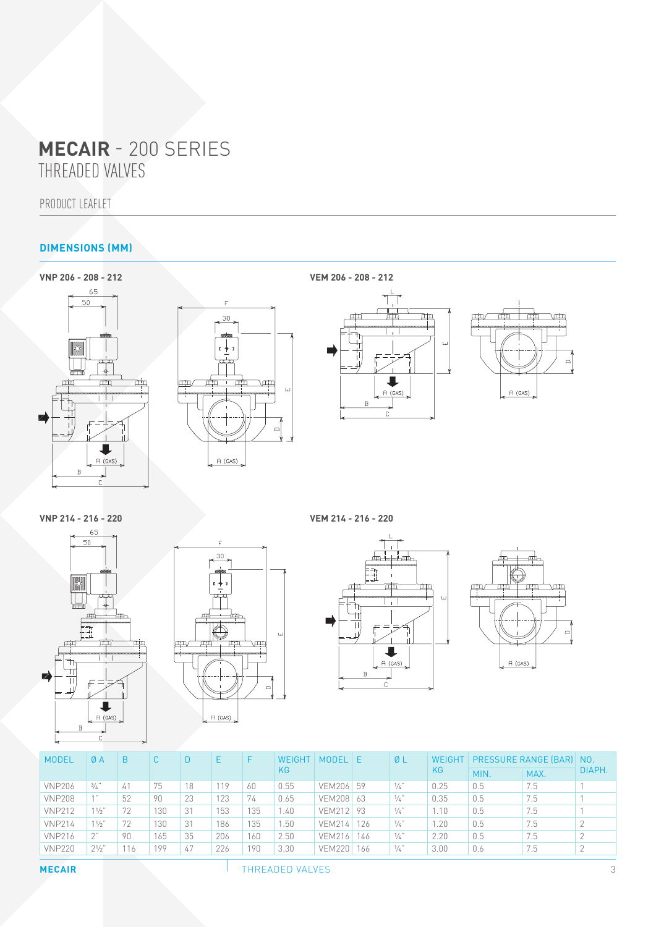# THREADED VALVES **MECAIR** - 200 SERIES

PRODUCT LEAFLET

## **DIMENSIONS (MM)**











| <b>MODEL</b>  | ØΑ             | B   |     |    |     | F   | WEIGHT | <b>MODEL</b>  | I E | ØL            | WEIGHT | <b>PRESSURE RANGE (BAR) NO.</b> |      |        |
|---------------|----------------|-----|-----|----|-----|-----|--------|---------------|-----|---------------|--------|---------------------------------|------|--------|
|               |                |     |     |    |     |     | KG.    |               |     |               | KG     | MIN.                            | MAX. | DIAPH. |
| <b>VNP206</b> | 3/4            | 41  | 75  | 18 | 119 | 60  | 0.55   | VEM206 59     |     | $\frac{1}{4}$ | 0.25   | 0.5                             | 7.5  |        |
| <b>VNP208</b> | $A$ $B$        | 52  | 90  | 23 | 123 | 74  | 0.65   | VEM208 63     |     | $\frac{1}{4}$ | 0.35   | 0.5                             | 7.5  |        |
| <b>VNP212</b> | $11/2$ "       | 72  | 130 | 31 | 153 | 135 | .40    | VEM212 93     |     | $\frac{1}{4}$ | 1.10   | 0.5                             | 7.5  |        |
| <b>VNP214</b> | $11/2$ "       | 72  | 130 | 31 | 186 | 135 | .50    | VEM214 126    |     | $\frac{1}{4}$ | .20    | 0.5                             | 7.5  |        |
| <b>VNP216</b> | つ"             | 90  | 165 | 35 | 206 | 160 | 2.50   | <b>VEM216</b> | 146 | $\frac{1}{4}$ | 2.20   | 0.5                             | 7.5  |        |
| <b>VNP220</b> | $2\frac{1}{2}$ | 116 | 199 | 47 | 226 | 190 | 3.30   | <b>VEM220</b> | 166 | $\frac{1}{4}$ | 3.00   | 0.6                             | 7.5  |        |
|               |                |     |     |    |     |     |        |               |     |               |        |                                 |      |        |

**MECAIR THREADED VALVES** 3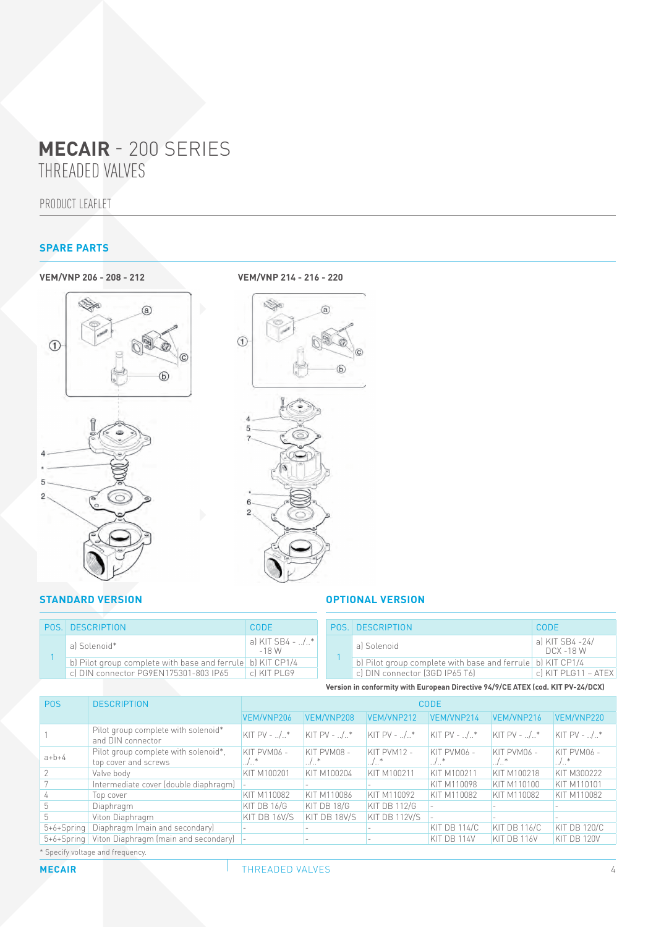## THREADED VALVES **MECAIR** - 200 SERIES

PRODUCT LEAFLET

## **SPARE PARTS**





#### **STANDARD VERSION OPTIONAL VERSION**

|  | <b>POS   DESCRIPTION</b>                                   | CODE                       |
|--|------------------------------------------------------------|----------------------------|
|  | al Solenoid*                                               | a) KIT SB4 - /*<br>$-18$ W |
|  | b) Pilot group complete with base and ferrule b) KIT CP1/4 |                            |
|  | c) DIN connector PG9EN175301-803 IP65                      | cl KIT PLG9                |
|  |                                                            |                            |

|  | <b>POS. DESCRIPTION</b>                                    | CODE                         |
|--|------------------------------------------------------------|------------------------------|
|  | al Solenoid                                                | al KIT SB4 -24/<br>DCX -18 W |
|  | b) Pilot group complete with base and ferrule b) KIT CP1/4 |                              |
|  | cl DIN connector (3GD IP65 T6)                             | cl KIT PLG11 - ATEX          |
|  |                                                            |                              |

**Version in conformity with European Directive 94/9/CE ATEX (cod. KIT PV-24/DCX)**

| <b>POS</b>                       | <b>DESCRIPTION</b>                                           | <b>CODE</b>       |                            |                     |                       |                                           |                        |  |  |  |
|----------------------------------|--------------------------------------------------------------|-------------------|----------------------------|---------------------|-----------------------|-------------------------------------------|------------------------|--|--|--|
|                                  |                                                              | VEM/VNP206        | VEM/VNP208                 | VEM/VNP212          | VEM/VNP214            | VEM/VNP216                                | VEM/VNP220             |  |  |  |
|                                  | Pilot group complete with solenoid*<br>and DIN connector     | $KIT PV - 0.1.*$  | $KIT PV - 0.1.*$           | $KIT PV - 0.1.*$    | $KIT PV - 0.1.*$      | $KKIT PV - 0.1.*$                         | $KIT PV - 0.1.*$       |  |  |  |
| $a+b+4$                          | Pilot group complete with solenoid*,<br>top cover and screws | KIT PVM06 -<br>/* | KIT PVM08 -<br>$.$ / $.$ * | KIT PVM12 -<br>/*   | $KT$ PVM $06 -$<br>/* | $KIT$ PVM $06 -$<br>$\ldots$ / $\ldots$ * | $KT$ PVM $06 -$<br>.7. |  |  |  |
|                                  | Valve body                                                   | KIT M100201       | KIT M100204                | KIT M100211         | KIT M100211           | KIT M100218                               | KIT M300222            |  |  |  |
|                                  | Intermediate cover (double diaphragm)                        |                   |                            |                     | KIT M110098           | KIT M110100                               | <b>KIT M110101</b>     |  |  |  |
|                                  | Top cover                                                    | KIT M110082       | KIT M110086                | KIT M110092         | KIT M110082           | KIT M110082                               | KIT M110082            |  |  |  |
|                                  | Diaphragm                                                    | KIT DB 16/G       | KIT DB 18/G                | <b>KIT DB 112/G</b> |                       |                                           |                        |  |  |  |
|                                  | Viton Diaphragm                                              | KIT DB 16V/S      | KIT DB 18V/S               | KIT DB 112V/S       |                       | $\overline{\phantom{a}}$                  |                        |  |  |  |
| $5+6+Spring$                     | Diaphragm (main and secondary)                               |                   |                            |                     | KIT DB 114/C          | KIT DB 116/C                              | KIT DB 120/C           |  |  |  |
|                                  | 5+6+Spring   Viton Diaphragm (main and secondary)  -         |                   |                            |                     | KIT DB 114V           | KIT DB 116V                               | KIT DB 120V            |  |  |  |
| * Specify voltage and frequency. |                                                              |                   |                            |                     |                       |                                           |                        |  |  |  |